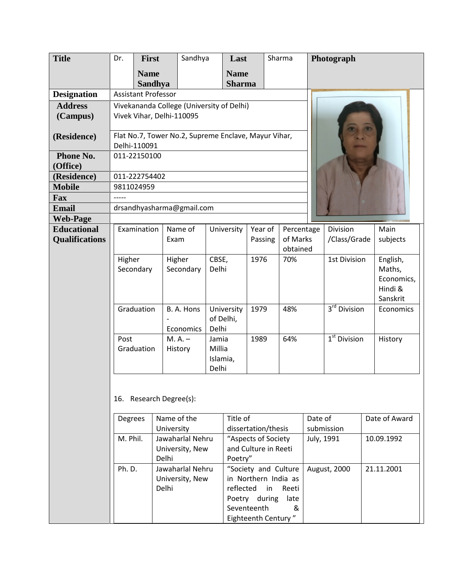| <b>Title</b>          | Dr.                                                                  | <b>First</b>                                          |                                | Sandhya                  | Last                                        |              | Sharma                   | Photograph          |              |                       |
|-----------------------|----------------------------------------------------------------------|-------------------------------------------------------|--------------------------------|--------------------------|---------------------------------------------|--------------|--------------------------|---------------------|--------------|-----------------------|
|                       |                                                                      | <b>Name</b>                                           |                                |                          | <b>Name</b>                                 |              |                          |                     |              |                       |
|                       |                                                                      | <b>Sandhya</b>                                        |                                |                          | <b>Sharma</b>                               |              |                          |                     |              |                       |
| <b>Designation</b>    | <b>Assistant Professor</b>                                           |                                                       |                                |                          |                                             |              |                          |                     |              |                       |
| <b>Address</b>        | Vivekananda College (University of Delhi)                            |                                                       |                                |                          |                                             |              |                          |                     |              |                       |
| (Campus)              | Vivek Vihar, Delhi-110095                                            |                                                       |                                |                          |                                             |              |                          |                     |              |                       |
|                       |                                                                      |                                                       |                                |                          |                                             |              |                          |                     |              |                       |
| (Residence)           | Flat No.7, Tower No.2, Supreme Enclave, Mayur Vihar,<br>Delhi-110091 |                                                       |                                |                          |                                             |              |                          |                     |              |                       |
| Phone No.             | 011-22150100                                                         |                                                       |                                |                          |                                             |              |                          |                     |              |                       |
| (Office)              |                                                                      |                                                       |                                |                          |                                             |              |                          |                     |              |                       |
| (Residence)           | 011-222754402                                                        |                                                       |                                |                          |                                             |              |                          |                     |              |                       |
| <b>Mobile</b>         | 9811024959                                                           |                                                       |                                |                          |                                             |              |                          |                     |              |                       |
| Fax                   |                                                                      |                                                       |                                |                          |                                             |              |                          |                     |              |                       |
| <b>Email</b>          | drsandhyasharma@gmail.com                                            |                                                       |                                |                          |                                             |              |                          |                     |              |                       |
| <b>Web-Page</b>       |                                                                      |                                                       |                                |                          |                                             |              |                          |                     |              |                       |
| <b>Educational</b>    | Examination                                                          |                                                       | Name of                        |                          | University                                  | Year of      | Percentage               | Division            |              | Main                  |
| <b>Qualifications</b> |                                                                      |                                                       | Exam                           |                          |                                             | Passing      | of Marks                 |                     | /Class/Grade |                       |
|                       |                                                                      |                                                       |                                |                          |                                             |              | obtained                 |                     |              |                       |
|                       | Higher                                                               |                                                       | Higher                         | CBSE,                    |                                             | 1976<br>70%  |                          | <b>1st Division</b> |              | English,              |
|                       | Secondary                                                            |                                                       |                                | Delhi<br>Secondary       |                                             |              |                          |                     |              | Maths,                |
|                       |                                                                      |                                                       |                                |                          |                                             |              |                          |                     |              | Economics,<br>Hindi & |
|                       |                                                                      |                                                       |                                |                          |                                             |              |                          |                     |              | Sanskrit              |
|                       |                                                                      | Graduation                                            |                                | B. A. Hons<br>University |                                             | 1979         | 48%                      | $3rd$ Division      |              | Economics             |
|                       |                                                                      |                                                       |                                | of Delhi,                |                                             |              |                          |                     |              |                       |
|                       |                                                                      |                                                       | Economics                      | Delhi                    |                                             |              |                          |                     |              |                       |
|                       | Post                                                                 |                                                       | $M.A. -$                       | Jamia                    |                                             | 1989         | 64%                      | $1st$ Division      |              | History               |
|                       | Graduation                                                           |                                                       | History                        | Millia                   |                                             |              |                          |                     |              |                       |
|                       |                                                                      |                                                       |                                | Islamia,                 |                                             |              |                          |                     |              |                       |
|                       |                                                                      |                                                       |                                | Delhi                    |                                             |              |                          |                     |              |                       |
|                       |                                                                      |                                                       |                                |                          |                                             |              |                          |                     |              |                       |
|                       | 16. Research Degree(s):                                              |                                                       |                                |                          |                                             |              |                          |                     |              |                       |
|                       |                                                                      |                                                       |                                |                          |                                             |              |                          |                     |              |                       |
|                       |                                                                      |                                                       |                                |                          |                                             |              |                          |                     |              |                       |
|                       | <b>Degrees</b>                                                       |                                                       | Name of the                    |                          | Title of                                    |              |                          | Date of             |              | Date of Award         |
|                       | M. Phil.                                                             |                                                       | University<br>Jawaharlal Nehru |                          | dissertation/thesis                         |              | submission<br>July, 1991 |                     | 10.09.1992   |                       |
|                       |                                                                      |                                                       | University, New                |                          | "Aspects of Society<br>and Culture in Reeti |              |                          |                     |              |                       |
|                       |                                                                      |                                                       |                                |                          | Poetry"                                     |              |                          |                     |              |                       |
|                       |                                                                      | Delhi<br>Ph.D.<br>Jawaharlal Nehru<br>University, New |                                |                          | "Society and Culture                        |              |                          | August, 2000        |              | 21.11.2001            |
|                       |                                                                      |                                                       |                                | in Northern India as     |                                             |              |                          |                     |              |                       |
|                       |                                                                      |                                                       | Delhi                          |                          |                                             | reflected in |                          |                     |              |                       |
|                       |                                                                      |                                                       |                                |                          | Reeti<br>Poetry during<br>late              |              |                          |                     |              |                       |
|                       |                                                                      |                                                       |                                |                          | Seventeenth<br>&                            |              |                          |                     |              |                       |
|                       |                                                                      |                                                       |                                |                          | Eighteenth Century"                         |              |                          |                     |              |                       |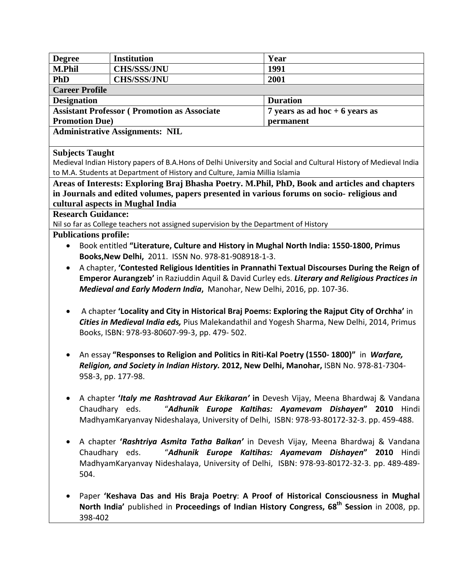| <b>Degree</b>                                                                            | <b>Institution</b>                                                                                      | Year                                                                                                             |  |  |  |  |  |  |
|------------------------------------------------------------------------------------------|---------------------------------------------------------------------------------------------------------|------------------------------------------------------------------------------------------------------------------|--|--|--|--|--|--|
| <b>M.Phil</b>                                                                            | <b>CHS/SSS/JNU</b>                                                                                      | 1991                                                                                                             |  |  |  |  |  |  |
| <b>PhD</b>                                                                               | <b>CHS/SSS/JNU</b>                                                                                      | 2001                                                                                                             |  |  |  |  |  |  |
| <b>Career Profile</b>                                                                    |                                                                                                         |                                                                                                                  |  |  |  |  |  |  |
| <b>Designation</b>                                                                       |                                                                                                         | <b>Duration</b>                                                                                                  |  |  |  |  |  |  |
|                                                                                          | <b>Assistant Professor (Promotion as Associate</b>                                                      | 7 years as ad hoc $+6$ years as                                                                                  |  |  |  |  |  |  |
| <b>Promotion Due)</b>                                                                    |                                                                                                         | permanent                                                                                                        |  |  |  |  |  |  |
| <b>Administrative Assignments: NIL</b>                                                   |                                                                                                         |                                                                                                                  |  |  |  |  |  |  |
|                                                                                          |                                                                                                         |                                                                                                                  |  |  |  |  |  |  |
| <b>Subjects Taught</b>                                                                   |                                                                                                         |                                                                                                                  |  |  |  |  |  |  |
|                                                                                          |                                                                                                         | Medieval Indian History papers of B.A.Hons of Delhi University and Social and Cultural History of Medieval India |  |  |  |  |  |  |
|                                                                                          | to M.A. Students at Department of History and Culture, Jamia Millia Islamia                             |                                                                                                                  |  |  |  |  |  |  |
|                                                                                          | Areas of Interests: Exploring Braj Bhasha Poetry. M.Phil, PhD, Book and articles and chapters           |                                                                                                                  |  |  |  |  |  |  |
|                                                                                          | in Journals and edited volumes, papers presented in various forums on socio-religious and               |                                                                                                                  |  |  |  |  |  |  |
|                                                                                          | cultural aspects in Mughal India                                                                        |                                                                                                                  |  |  |  |  |  |  |
| <b>Research Guidance:</b>                                                                |                                                                                                         |                                                                                                                  |  |  |  |  |  |  |
|                                                                                          | Nil so far as College teachers not assigned supervision by the Department of History                    |                                                                                                                  |  |  |  |  |  |  |
| <b>Publications profile:</b>                                                             |                                                                                                         |                                                                                                                  |  |  |  |  |  |  |
|                                                                                          | Book entitled "Literature, Culture and History in Mughal North India: 1550-1800, Primus                 |                                                                                                                  |  |  |  |  |  |  |
|                                                                                          | Books, New Delhi, 2011. ISSN No. 978-81-908918-1-3.                                                     |                                                                                                                  |  |  |  |  |  |  |
| $\bullet$                                                                                |                                                                                                         | A chapter, 'Contested Religious Identities in Prannathi Textual Discourses During the Reign of                   |  |  |  |  |  |  |
|                                                                                          |                                                                                                         | Emperor Aurangzeb' in Raziuddin Aquil & David Curley eds. Literary and Religious Practices in                    |  |  |  |  |  |  |
|                                                                                          | Medieval and Early Modern India, Manohar, New Delhi, 2016, pp. 107-36.                                  |                                                                                                                  |  |  |  |  |  |  |
|                                                                                          |                                                                                                         |                                                                                                                  |  |  |  |  |  |  |
|                                                                                          | A chapter 'Locality and City in Historical Braj Poems: Exploring the Rajput City of Orchha' in          |                                                                                                                  |  |  |  |  |  |  |
|                                                                                          | Cities in Medieval India eds, Pius Malekandathil and Yogesh Sharma, New Delhi, 2014, Primus             |                                                                                                                  |  |  |  |  |  |  |
|                                                                                          | Books, ISBN: 978-93-80607-99-3, pp. 479- 502.                                                           |                                                                                                                  |  |  |  |  |  |  |
|                                                                                          |                                                                                                         |                                                                                                                  |  |  |  |  |  |  |
| An essay "Responses to Religion and Politics in Riti-Kal Poetry (1550-1800)" in Warfare, |                                                                                                         |                                                                                                                  |  |  |  |  |  |  |
| Religion, and Society in Indian History. 2012, New Delhi, Manohar, ISBN No. 978-81-7304- |                                                                                                         |                                                                                                                  |  |  |  |  |  |  |
|                                                                                          | 958-3, pp. 177-98.                                                                                      |                                                                                                                  |  |  |  |  |  |  |
|                                                                                          |                                                                                                         |                                                                                                                  |  |  |  |  |  |  |
| A chapter 'Italy me Rashtravad Aur Ekikaran' in Devesh Vijay, Meena Bhardwaj & Vandana   |                                                                                                         |                                                                                                                  |  |  |  |  |  |  |
| "Adhunik Europe Kaltihas: Ayamevam Dishayen" 2010 Hindi<br>Chaudhary eds.                |                                                                                                         |                                                                                                                  |  |  |  |  |  |  |
|                                                                                          | MadhyamKaryanvay Nideshalaya, University of Delhi, ISBN: 978-93-80172-32-3. pp. 459-488.                |                                                                                                                  |  |  |  |  |  |  |
|                                                                                          |                                                                                                         |                                                                                                                  |  |  |  |  |  |  |
| A chapter 'Rashtriya Asmita Tatha Balkan' in Devesh Vijay, Meena Bhardwaj & Vandana      |                                                                                                         |                                                                                                                  |  |  |  |  |  |  |
|                                                                                          | "Adhunik Europe Kaltihas: Ayamevam Dishayen" 2010 Hindi<br>Chaudhary eds.                               |                                                                                                                  |  |  |  |  |  |  |
|                                                                                          | MadhyamKaryanvay Nideshalaya, University of Delhi, ISBN: 978-93-80172-32-3. pp. 489-489-                |                                                                                                                  |  |  |  |  |  |  |
| 504.                                                                                     |                                                                                                         |                                                                                                                  |  |  |  |  |  |  |
|                                                                                          |                                                                                                         |                                                                                                                  |  |  |  |  |  |  |
|                                                                                          | Paper 'Keshava Das and His Braja Poetry: A Proof of Historical Consciousness in Mughal                  |                                                                                                                  |  |  |  |  |  |  |
|                                                                                          | North India' published in Proceedings of Indian History Congress, 68 <sup>th</sup> Session in 2008, pp. |                                                                                                                  |  |  |  |  |  |  |
| 398-402                                                                                  |                                                                                                         |                                                                                                                  |  |  |  |  |  |  |
|                                                                                          |                                                                                                         |                                                                                                                  |  |  |  |  |  |  |